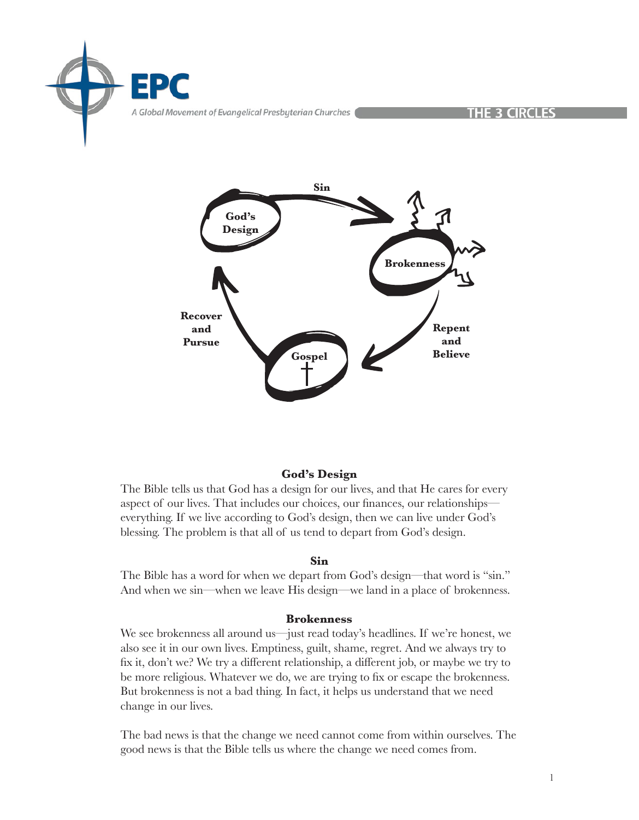



# **God's Design**

The Bible tells us that God has a design for our lives, and that He cares for every aspect of our lives. That includes our choices, our finances, our relationships everything. If we live according to God's design, then we can live under God's blessing. The problem is that all of us tend to depart from God's design.

## **Sin**

The Bible has a word for when we depart from God's design—that word is "sin." And when we sin—when we leave His design—we land in a place of brokenness.

## **Brokenness**

We see brokenness all around us—just read today's headlines. If we're honest, we also see it in our own lives. Emptiness, guilt, shame, regret. And we always try to fix it, don't we? We try a different relationship, a different job, or maybe we try to be more religious. Whatever we do, we are trying to fix or escape the brokenness. But brokenness is not a bad thing. In fact, it helps us understand that we need change in our lives.

The bad news is that the change we need cannot come from within ourselves. The good news is that the Bible tells us where the change we need comes from.